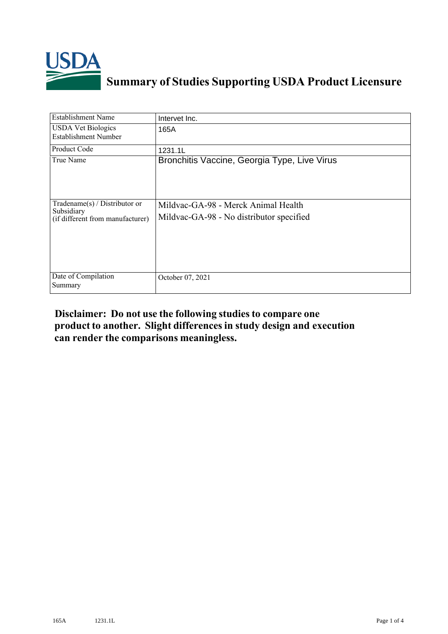

## **Summary of Studies Supporting USDA Product Licensure**

| <b>Establishment Name</b>                                                       | Intervet Inc.                                                                   |
|---------------------------------------------------------------------------------|---------------------------------------------------------------------------------|
| <b>USDA Vet Biologics</b><br><b>Establishment Number</b>                        | 165A                                                                            |
| <b>Product Code</b>                                                             | 1231.1L                                                                         |
| True Name                                                                       | Bronchitis Vaccine, Georgia Type, Live Virus                                    |
| Tradename(s) / Distributor or<br>Subsidiary<br>(if different from manufacturer) | Mildvac-GA-98 - Merck Animal Health<br>Mildvac-GA-98 - No distributor specified |
| Date of Compilation<br>Summary                                                  | October 07, 2021                                                                |

## **Disclaimer: Do not use the following studiesto compare one product to another. Slight differencesin study design and execution can render the comparisons meaningless.**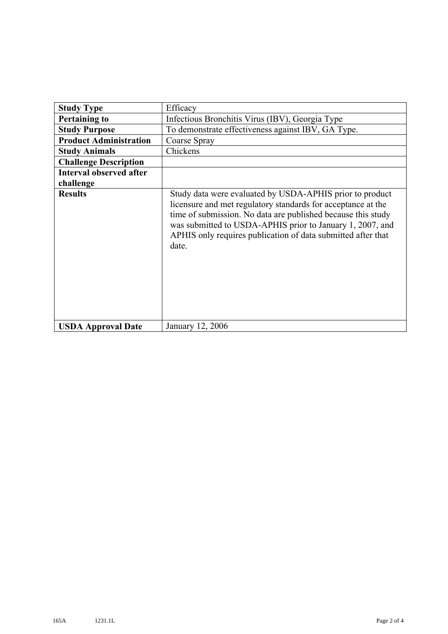| <b>Study Type</b>              | Efficacy                                                                                                                                                                                                                                                                                                                       |
|--------------------------------|--------------------------------------------------------------------------------------------------------------------------------------------------------------------------------------------------------------------------------------------------------------------------------------------------------------------------------|
| <b>Pertaining to</b>           | Infectious Bronchitis Virus (IBV), Georgia Type                                                                                                                                                                                                                                                                                |
| <b>Study Purpose</b>           | To demonstrate effectiveness against IBV, GA Type.                                                                                                                                                                                                                                                                             |
| <b>Product Administration</b>  | Coarse Spray                                                                                                                                                                                                                                                                                                                   |
| <b>Study Animals</b>           | Chickens                                                                                                                                                                                                                                                                                                                       |
| <b>Challenge Description</b>   |                                                                                                                                                                                                                                                                                                                                |
| <b>Interval observed after</b> |                                                                                                                                                                                                                                                                                                                                |
| challenge                      |                                                                                                                                                                                                                                                                                                                                |
| <b>Results</b>                 | Study data were evaluated by USDA-APHIS prior to product<br>licensure and met regulatory standards for acceptance at the<br>time of submission. No data are published because this study<br>was submitted to USDA-APHIS prior to January 1, 2007, and<br>APHIS only requires publication of data submitted after that<br>date. |
| <b>USDA Approval Date</b>      | January 12, 2006                                                                                                                                                                                                                                                                                                               |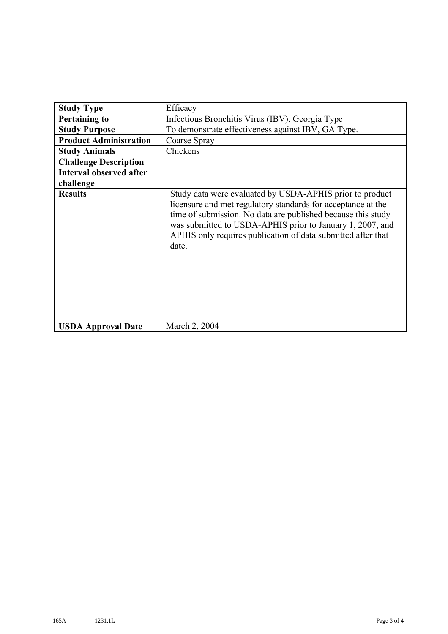| <b>Study Type</b>              | Efficacy                                                                                                                                                                                                                                                                                                                       |
|--------------------------------|--------------------------------------------------------------------------------------------------------------------------------------------------------------------------------------------------------------------------------------------------------------------------------------------------------------------------------|
| <b>Pertaining to</b>           | Infectious Bronchitis Virus (IBV), Georgia Type                                                                                                                                                                                                                                                                                |
| <b>Study Purpose</b>           | To demonstrate effectiveness against IBV, GA Type.                                                                                                                                                                                                                                                                             |
| <b>Product Administration</b>  | Coarse Spray                                                                                                                                                                                                                                                                                                                   |
| <b>Study Animals</b>           | Chickens                                                                                                                                                                                                                                                                                                                       |
| <b>Challenge Description</b>   |                                                                                                                                                                                                                                                                                                                                |
| <b>Interval observed after</b> |                                                                                                                                                                                                                                                                                                                                |
| challenge                      |                                                                                                                                                                                                                                                                                                                                |
| <b>Results</b>                 | Study data were evaluated by USDA-APHIS prior to product<br>licensure and met regulatory standards for acceptance at the<br>time of submission. No data are published because this study<br>was submitted to USDA-APHIS prior to January 1, 2007, and<br>APHIS only requires publication of data submitted after that<br>date. |
| <b>USDA Approval Date</b>      | March 2, 2004                                                                                                                                                                                                                                                                                                                  |